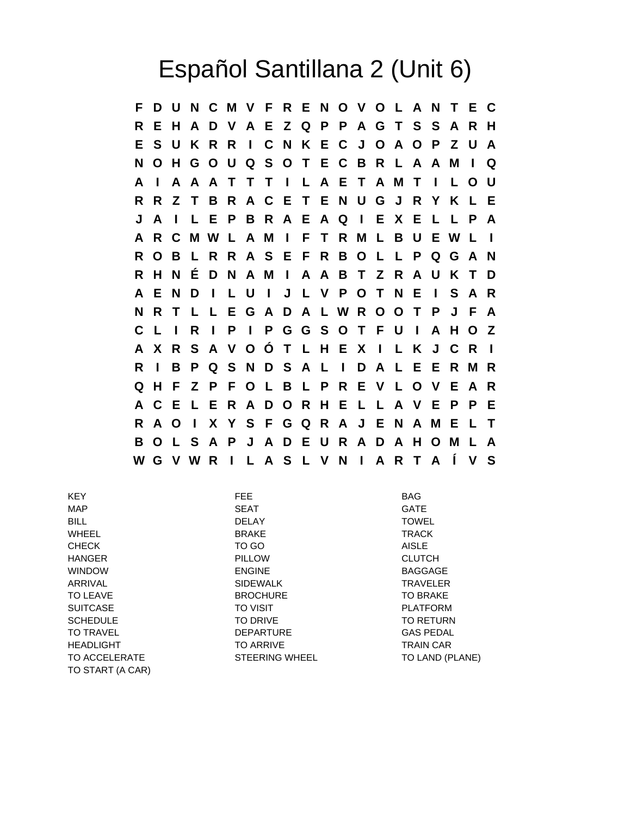## Español Santillana 2 (Unit 6)

**F D U N C M V F R E N O V O L A N T E C R E H A D V A E Z Q P P A G T S S A R H E S U K R R I C N K E C J O A O P Z U A N O H G O U Q S O T E C B R L A A M I Q A I A A A T T T I L A E T A M T I L O U R R Z T B R A C E T E N U G J R Y K L E J A I L E P B R A E A Q I E X E L L P A A R C M W L A M I F T R M L B U E W L I R O B L R R A S E F R B O L L P Q G A N R H N É D N A M I A A B T Z R A U K T D A E N D I L U I J L V P O T N E I S A R N R T L L E G A D A L W R O O T P J F A C L I R I P I P G G S O T F U I A H O Z A X R S A V O Ó T L H E X I L K J C R I R I B P Q S N D S A L I D A L E E R M R Q H F Z P F O L B L P R E V L O V E A R A C E L E R A D O R H E L L A V E P P E R A O I X Y S F G Q R A J E N A M E L T B O L S A P J A D E U R A D A H O M L A W G V W R I L A S L V N I A R T A Í V S**

KEY FEE BAG MAP SEAT GATE BILL DELAY TOWEL WHEEL BRAKE TRACK CHECK TO GO AISLE HANGER PILLOW CLUTCH WINDOW ENGINE BAGGAGE ARRIVAL SIDEWALK TRAVELER TO LEAVE **EXAMPLE TO BROOF BROCHURE** TO BRAKE TO BRAKE SUITCASE TO VISIT TO VISIT PLATFORM SCHEDULE TO DRIVE TO DRIVE TO TO TO RETURN TO TRAVEL **Example 20 TO TRAVEL** DEPARTURE **CAS PEDAL** HEADLIGHT TO ARRIVE TO ARRIVE TRAIN CAR TO ACCELERATE STEERING WHEEL TO LAND (PLANE) TO START (A CAR)